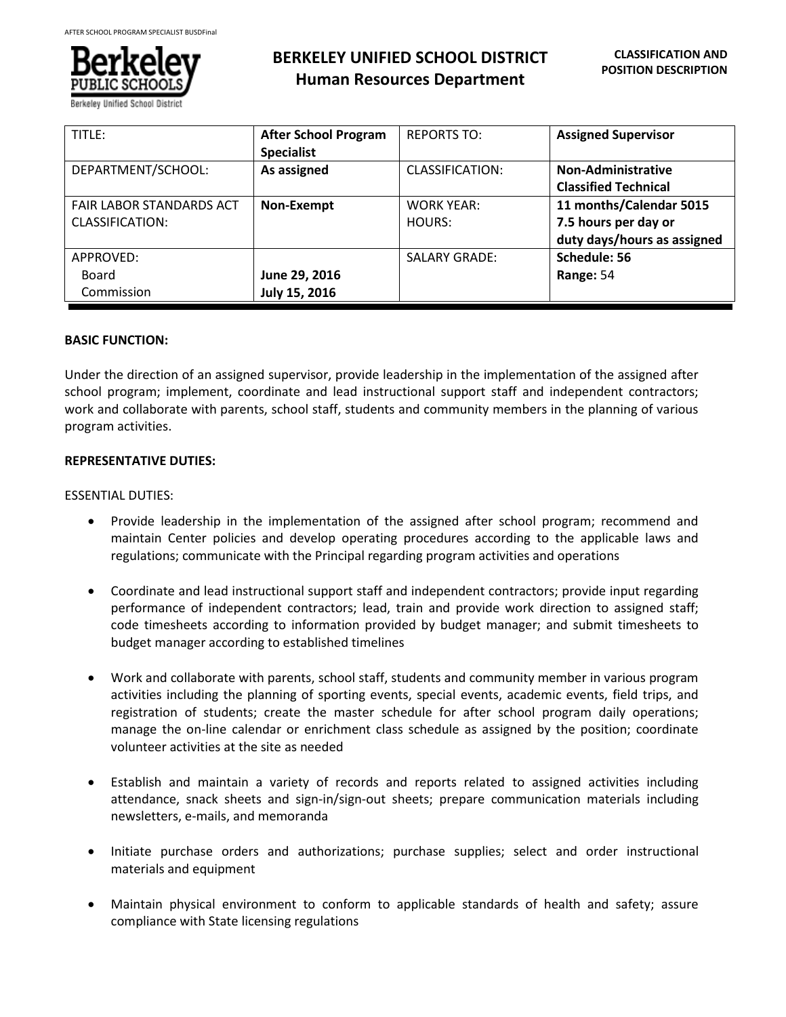

# **BERKELEY UNIFIED SCHOOL DISTRICT Human Resources Department**

| TITLE:                                             | <b>After School Program</b><br><b>Specialist</b> | <b>REPORTS TO:</b>   | <b>Assigned Supervisor</b>                                                     |
|----------------------------------------------------|--------------------------------------------------|----------------------|--------------------------------------------------------------------------------|
| DEPARTMENT/SCHOOL:                                 | As assigned                                      | CLASSIFICATION:      | <b>Non-Administrative</b><br><b>Classified Technical</b>                       |
| <b>FAIR LABOR STANDARDS ACT</b><br>CLASSIFICATION: | Non-Exempt                                       | WORK YEAR:<br>HOURS: | 11 months/Calendar 5015<br>7.5 hours per day or<br>duty days/hours as assigned |
| APPROVED:<br>Board<br>Commission                   | June 29, 2016<br>July 15, 2016                   | <b>SALARY GRADE:</b> | Schedule: 56<br>Range: 54                                                      |

# **BASIC FUNCTION:**

Under the direction of an assigned supervisor, provide leadership in the implementation of the assigned after school program; implement, coordinate and lead instructional support staff and independent contractors; work and collaborate with parents, school staff, students and community members in the planning of various program activities.

# **REPRESENTATIVE DUTIES:**

# ESSENTIAL DUTIES:

- Provide leadership in the implementation of the assigned after school program; recommend and maintain Center policies and develop operating procedures according to the applicable laws and regulations; communicate with the Principal regarding program activities and operations
- Coordinate and lead instructional support staff and independent contractors; provide input regarding performance of independent contractors; lead, train and provide work direction to assigned staff; code timesheets according to information provided by budget manager; and submit timesheets to budget manager according to established timelines
- Work and collaborate with parents, school staff, students and community member in various program activities including the planning of sporting events, special events, academic events, field trips, and registration of students; create the master schedule for after school program daily operations; manage the on-line calendar or enrichment class schedule as assigned by the position; coordinate volunteer activities at the site as needed
- Establish and maintain a variety of records and reports related to assigned activities including attendance, snack sheets and sign-in/sign-out sheets; prepare communication materials including newsletters, e-mails, and memoranda
- Initiate purchase orders and authorizations; purchase supplies; select and order instructional materials and equipment
- Maintain physical environment to conform to applicable standards of health and safety; assure compliance with State licensing regulations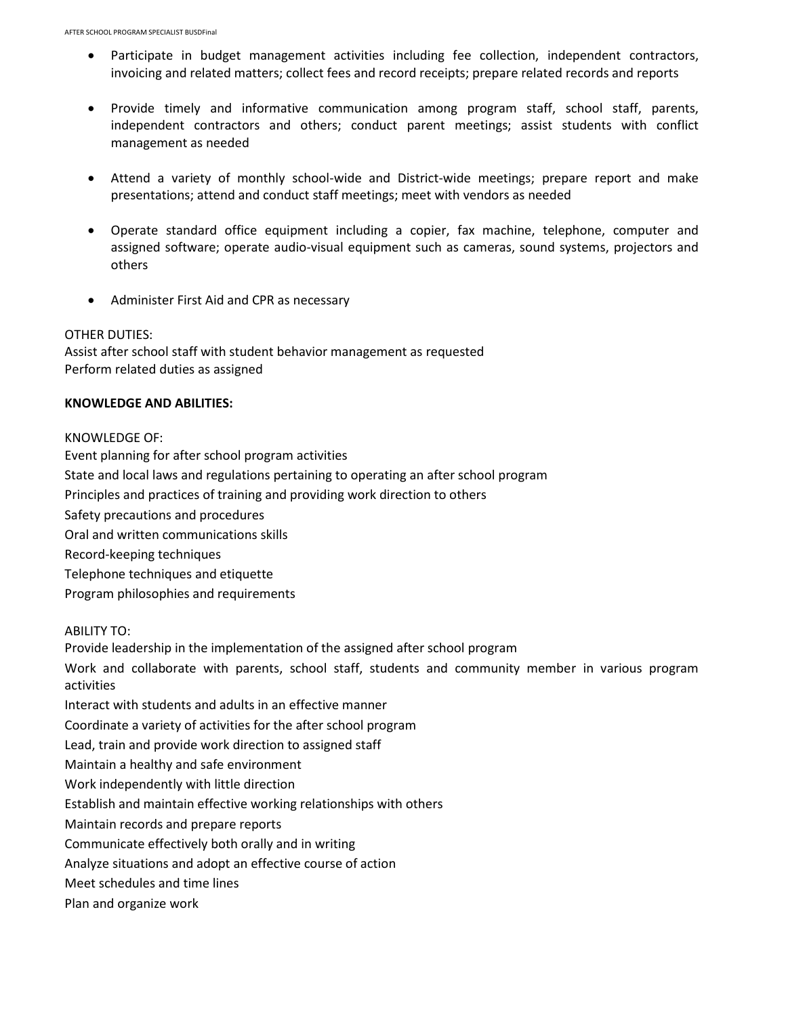- Participate in budget management activities including fee collection, independent contractors, invoicing and related matters; collect fees and record receipts; prepare related records and reports
- Provide timely and informative communication among program staff, school staff, parents, independent contractors and others; conduct parent meetings; assist students with conflict management as needed
- Attend a variety of monthly school-wide and District-wide meetings; prepare report and make presentations; attend and conduct staff meetings; meet with vendors as needed
- Operate standard office equipment including a copier, fax machine, telephone, computer and assigned software; operate audio-visual equipment such as cameras, sound systems, projectors and others
- Administer First Aid and CPR as necessary

#### OTHER DUTIES:

Assist after school staff with student behavior management as requested Perform related duties as assigned

## **KNOWLEDGE AND ABILITIES:**

#### KNOWLEDGE OF:

Event planning for after school program activities State and local laws and regulations pertaining to operating an after school program Principles and practices of training and providing work direction to others Safety precautions and procedures Oral and written communications skills Record-keeping techniques Telephone techniques and etiquette Program philosophies and requirements

#### ABILITY TO:

Provide leadership in the implementation of the assigned after school program

Work and collaborate with parents, school staff, students and community member in various program activities

Interact with students and adults in an effective manner

Coordinate a variety of activities for the after school program

Lead, train and provide work direction to assigned staff

Maintain a healthy and safe environment

Work independently with little direction

Establish and maintain effective working relationships with others

Maintain records and prepare reports

Communicate effectively both orally and in writing

Analyze situations and adopt an effective course of action

Meet schedules and time lines

Plan and organize work